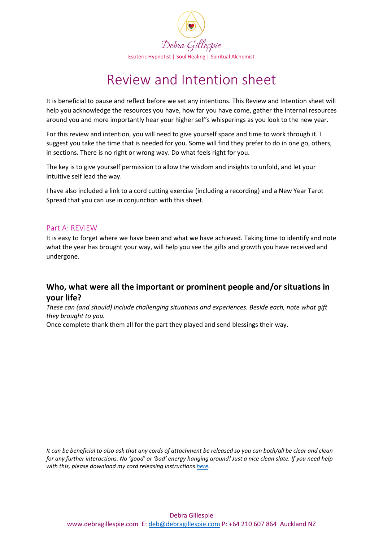

It is beneficial to pause and reflect before we set any intentions. This Review and Intention sheet will help you acknowledge the resources you have, how far you have come, gather the internal resources around you and more importantly hear your higher self's whisperings as you look to the new year.

For this review and intention, you will need to give yourself space and time to work through it. I suggest you take the time that is needed for you. Some will find they prefer to do in one go, others, in sections. There is no right or wrong way. Do what feels right for you.

The key is to give yourself permission to allow the wisdom and insights to unfold, and let your intuitive self lead the way.

I have also included a link to a cord cutting exercise (including a recording) and a New Year Tarot Spread that you can use in conjunction with this sheet.

### Part A: REVIEW

It is easy to forget where we have been and what we have achieved. Taking time to identify and note what the year has brought your way, will help you see the gifts and growth you have received and undergone.

### **Who, what were all the important or prominent people and/or situations in your life?**

*These can (and should) include challenging situations and experiences. Beside each, note what gift they brought to you.* 

Once complete thank them all for the part they played and send blessings their way.

*It can be beneficial to also ask that any cords of attachment be released so you can both/all be clear and clean for any further interactions. No 'good' or 'bad' energy hanging around! Just a nice clean slate. If you need help with this, please download my cord releasing instructions [here.](https://debragillespie.com/wp-content/uploads/2021/12/Cord-Cutting.pdf)*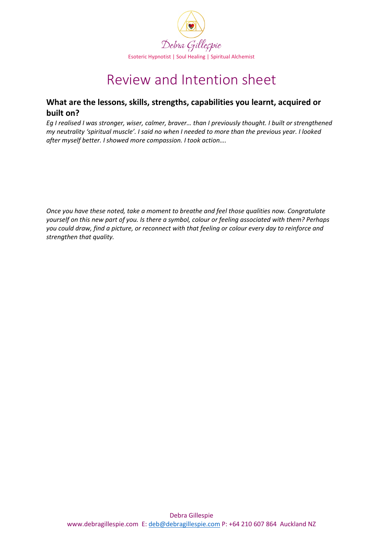

### **What are the lessons, skills, strengths, capabilities you learnt, acquired or built on?**

*Eg I realised I was stronger, wiser, calmer, braver… than I previously thought. I built or strengthened my neutrality 'spiritual muscle'. I said no when I needed to more than the previous year. I looked after myself better. I showed more compassion. I took action….* 

*Once you have these noted, take a moment to breathe and feel those qualities now. Congratulate yourself on this new part of you. Is there a symbol, colour or feeling associated with them? Perhaps you could draw, find a picture, or reconnect with that feeling or colour every day to reinforce and strengthen that quality.*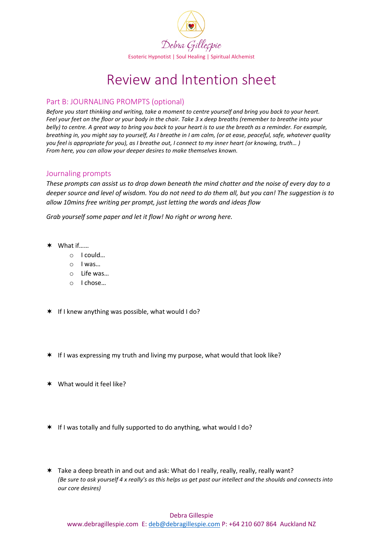

### Part B: JOURNALING PROMPTS (optional)

*Before you start thinking and writing, take a moment to centre yourself and bring you back to your heart. Feel your feet on the floor or your body in the chair. Take 3 x deep breaths (remember to breathe into your belly) to centre. A great way to bring you back to your heart is to use the breath as a reminder. For example, breathing in, you might say to yourself, As I breathe in I am calm, (or at ease, peaceful, safe, whatever quality you feel is appropriate for you), as I breathe out, I connect to my inner heart (or knowing, truth… ) From here, you can allow your deeper desires to make themselves known.* 

#### Journaling prompts

*These prompts can assist us to drop down beneath the mind chatter and the noise of every day to a deeper source and level of wisdom. You do not need to do them all, but you can! The suggestion is to allow 10mins free writing per prompt, just letting the words and ideas flow*

*Grab yourself some paper and let it flow! No right or wrong here.*

- What if……
	- o I could…
	- o I was…
	- o Life was…
	- o I chose…
- \* If I knew anything was possible, what would I do?
- $*$  If I was expressing my truth and living my purpose, what would that look like?
- \* What would it feel like?
- $*$  If I was totally and fully supported to do anything, what would I do?
- Take a deep breath in and out and ask: What do I really, really, really, really want? *(Be sure to ask yourself 4 x really's as this helps us get past our intellect and the shoulds and connects into our core desires)*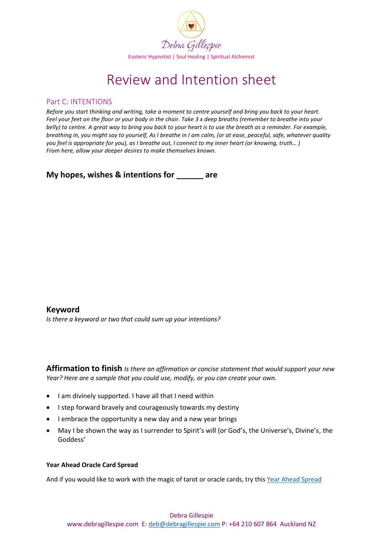

#### Part C: INTENTIONS

*Before you start thinking and writing, take a moment to centre yourself and bring you back to your heart. Feel your feet on the floor or your body in the chair. Take 3 x deep breaths (remember to breathe into your belly) to centre. A great way to bring you back to your heart is to use the breath as a reminder. For example, breathing in, you might say to yourself, As I breathe in I am calm, (or at ease, peaceful, safe, whatever quality you feel is appropriate for you), as I breathe out, I connect to my inner heart (or knowing, truth… ) From here, allow your deeper desires to make themselves known.* 

**My hopes, wishes & intentions for \_\_\_\_\_\_ are**

#### **Keyword**  *Is there a keyword or two that could sum up your intentions?*

**Affirmation to finish** *Is there an affirmation or concise statement that would support your new Year? Here are a sample that you could use, modify, or you can create your own.* 

- I am divinely supported. I have all that I need within
- I step forward bravely and courageously towards my destiny
- I embrace the opportunity a new day and a new year brings
- May I be shown the way as I surrender to Spirit's will (or God's, the Universe's, Divine's, the Goddess'

#### **Year Ahead Oracle Card Spread**

And if you would like to work with the magic of tarot or oracle cards, try this [Year Ahead Spread](https://d.docs.live.net/76e1a8b979d3aae2/DebGillespie/Admin/Client%20Resources/Yearly-Oracle-Spread-Debra-Gillespie-Spiritual-Alchemist-updated-2021-12-21.pdf)